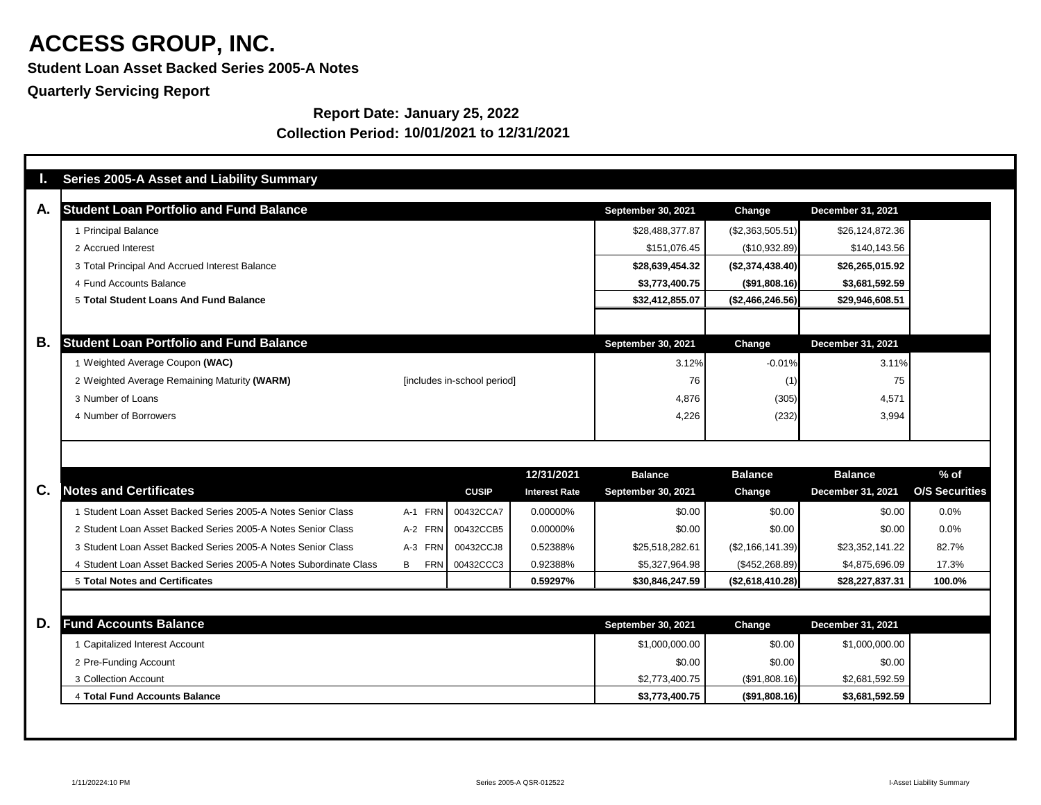**Student Loan Asset Backed Series 2005-A Notes**

**Quarterly Servicing Report**

|    | <b>Series 2005-A Asset and Liability Summary</b>                  |         |                             |                      |                           |                   |                          |                       |
|----|-------------------------------------------------------------------|---------|-----------------------------|----------------------|---------------------------|-------------------|--------------------------|-----------------------|
|    |                                                                   |         |                             |                      |                           |                   |                          |                       |
| A. | <b>Student Loan Portfolio and Fund Balance</b>                    |         |                             |                      | September 30, 2021        | Change            | <b>December 31, 2021</b> |                       |
|    | 1 Principal Balance                                               |         |                             |                      | \$28,488,377.87           | (\$2,363,505.51)  | \$26,124,872.36          |                       |
|    | 2 Accrued Interest                                                |         |                             |                      | \$151,076.45              | (\$10,932.89)     | \$140,143.56             |                       |
|    | 3 Total Principal And Accrued Interest Balance                    |         |                             |                      | \$28,639,454.32           | (\$2,374,438.40)  | \$26,265,015.92          |                       |
|    | 4 Fund Accounts Balance                                           |         |                             |                      | \$3,773,400.75            | (\$91,808.16)     | \$3,681,592.59           |                       |
|    | 5 Total Student Loans And Fund Balance                            |         |                             |                      | \$32,412,855.07           | (\$2,466,246.56)  | \$29,946,608.51          |                       |
|    |                                                                   |         |                             |                      |                           |                   |                          |                       |
| В. | <b>Student Loan Portfolio and Fund Balance</b>                    |         |                             |                      | <b>September 30, 2021</b> | <b>Change</b>     | <b>December 31, 2021</b> |                       |
|    | 1 Weighted Average Coupon (WAC)                                   |         |                             |                      | 3.12%                     | $-0.01%$          | 3.11%                    |                       |
|    | 2 Weighted Average Remaining Maturity (WARM)                      |         | [includes in-school period] |                      | 76                        | (1)               | 75                       |                       |
|    | 3 Number of Loans                                                 |         |                             |                      | 4,876                     | (305)             | 4,571                    |                       |
|    | 4 Number of Borrowers                                             |         |                             |                      | 4,226                     | (232)             | 3,994                    |                       |
|    |                                                                   |         |                             |                      |                           |                   |                          |                       |
|    |                                                                   |         |                             |                      |                           |                   |                          |                       |
|    |                                                                   |         |                             | 12/31/2021           | <b>Balance</b>            | <b>Balance</b>    | <b>Balance</b>           | $%$ of                |
| C. | <b>Notes and Certificates</b>                                     |         | <b>CUSIP</b>                | <b>Interest Rate</b> | <b>September 30, 2021</b> | <b>Change</b>     | December 31, 2021        | <b>O/S Securities</b> |
|    |                                                                   |         |                             |                      |                           |                   |                          |                       |
|    | Student Loan Asset Backed Series 2005-A Notes Senior Class        | A-1 FRN | 00432CCA7                   | 0.00000%             | \$0.00                    | \$0.00            | \$0.00                   | 0.0%                  |
|    | 2 Student Loan Asset Backed Series 2005-A Notes Senior Class      | A-2 FRN | 00432CCB5                   | 0.00000%             | \$0.00                    | \$0.00            | \$0.00                   | 0.0%                  |
|    | 3 Student Loan Asset Backed Series 2005-A Notes Senior Class      | A-3 FRN | 00432CCJ8                   | 0.52388%             | \$25,518,282.61           | (S2, 166, 141.39) | \$23,352,141.22          | 82.7%                 |
|    | 4 Student Loan Asset Backed Series 2005-A Notes Subordinate Class | B       | FRN 00432CCC3               | 0.92388%             | \$5,327,964.98            | (\$452,268.89)    | \$4,875,696.09           | 17.3%                 |
|    | <b>5 Total Notes and Certificates</b>                             |         |                             | 0.59297%             | \$30,846,247.59           | (\$2,618,410.28)  | \$28,227,837.31          | 100.0%                |
|    |                                                                   |         |                             |                      |                           |                   |                          |                       |
| D. | <b>Fund Accounts Balance</b>                                      |         |                             |                      | September 30, 2021        | <b>Change</b>     | <b>December 31, 2021</b> |                       |
|    | 1 Capitalized Interest Account                                    |         |                             |                      | \$1,000,000.00            | \$0.00            | \$1,000,000.00           |                       |
|    | 2 Pre-Funding Account                                             |         |                             |                      | \$0.00                    | \$0.00            | \$0.00                   |                       |
|    | 3 Collection Account                                              |         |                             |                      | \$2,773,400.75            | (\$91,808.16)     | \$2,681,592.59           |                       |
|    | 4 Total Fund Accounts Balance                                     |         |                             |                      | \$3,773,400.75            | (\$91,808.16)     | \$3,681,592.59           |                       |
|    |                                                                   |         |                             |                      |                           |                   |                          |                       |

| December 31, 2021        |                       |
|--------------------------|-----------------------|
| \$26,124,872.36          |                       |
| \$140,143.56             |                       |
| \$26,265,015.92          |                       |
| \$3,681,592.59           |                       |
| \$29,946,608.51          |                       |
|                          |                       |
| <b>December 31, 2021</b> |                       |
| 3.11%                    |                       |
|                          |                       |
| 75                       |                       |
| 4,571                    |                       |
| 3,994                    |                       |
|                          |                       |
|                          |                       |
| <b>Balance</b>           | % of                  |
| <b>December 31, 2021</b> | <b>O/S Securities</b> |
| \$0.00                   | 0.0%                  |
| \$0.00                   | 0.0%                  |
| \$23,352,141.22          | 82.7%                 |
| \$4,875,696.09           | 17.3%                 |
| \$28,227,837.31          | 100.0%                |
|                          |                       |
|                          |                       |
| <b>December 31, 2021</b> |                       |
| \$1,000,000.00           |                       |
| \$0.00                   |                       |
| \$2,681,592.59           |                       |
| \$3,681,592.59           |                       |

### **Report Date: January 25, 2022 Collection Period: 10/01/2021 to 12/31/2021**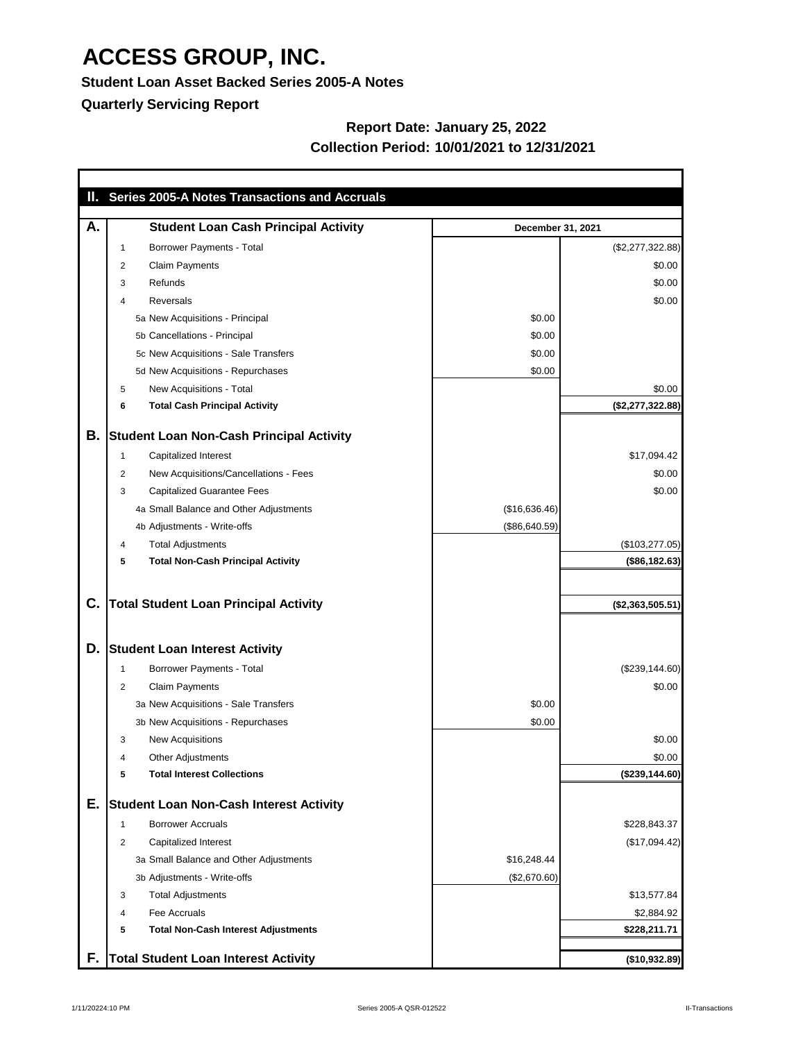**Student Loan Asset Backed Series 2005-A Notes**

**Quarterly Servicing Report**

### **Report Date: January 25, 2022 Collection Period: 10/01/2021 to 12/31/2021**

|    |                | II. Series 2005-A Notes Transactions and Accruals |                          |                           |
|----|----------------|---------------------------------------------------|--------------------------|---------------------------|
| A. |                | <b>Student Loan Cash Principal Activity</b>       | <b>December 31, 2021</b> |                           |
|    | 1              | <b>Borrower Payments - Total</b>                  |                          | $(\$2,277,322.88)$        |
|    | 2              | <b>Claim Payments</b>                             |                          | \$0.00                    |
|    | 3              | Refunds                                           |                          | \$0.00                    |
|    | 4              | Reversals                                         |                          | \$0.00                    |
|    |                | 5a New Acquisitions - Principal                   | \$0.00                   |                           |
|    |                | 5b Cancellations - Principal                      | \$0.00                   |                           |
|    |                | 5c New Acquisitions - Sale Transfers              | \$0.00                   |                           |
|    |                | 5d New Acquisitions - Repurchases                 | \$0.00                   |                           |
|    | 5              | New Acquisitions - Total                          |                          | \$0.00                    |
|    | 6              | <b>Total Cash Principal Activity</b>              |                          | (\$2,277,322.88)          |
| В. |                | <b>Student Loan Non-Cash Principal Activity</b>   |                          |                           |
|    | 1              | <b>Capitalized Interest</b>                       |                          | \$17,094.42               |
|    | 2              | New Acquisitions/Cancellations - Fees             |                          | \$0.00                    |
|    | 3              | <b>Capitalized Guarantee Fees</b>                 |                          | \$0.00                    |
|    |                | 4a Small Balance and Other Adjustments            | (\$16,636.46)            |                           |
|    |                | 4b Adjustments - Write-offs                       | (\$86,640.59)            |                           |
|    | 4              | <b>Total Adjustments</b>                          |                          | (\$103,277.05)            |
|    | 5              | <b>Total Non-Cash Principal Activity</b>          |                          | (\$86,182.63)             |
|    |                |                                                   |                          |                           |
| C. |                | <b>Total Student Loan Principal Activity</b>      |                          | (\$2,363,505.51)          |
|    |                |                                                   |                          |                           |
| D. |                | <b>Student Loan Interest Activity</b>             |                          |                           |
|    | 1              | <b>Borrower Payments - Total</b>                  |                          | (\$239,144.60)            |
|    | $\overline{2}$ | <b>Claim Payments</b>                             |                          | \$0.00                    |
|    |                | 3a New Acquisitions - Sale Transfers              | \$0.00                   |                           |
|    |                | 3b New Acquisitions - Repurchases                 | \$0.00                   |                           |
|    | 3              | <b>New Acquisitions</b>                           |                          | \$0.00                    |
|    | 4              | <b>Other Adjustments</b>                          |                          | \$0.00                    |
|    | 5              | <b>Total Interest Collections</b>                 |                          | (\$239,144.60)            |
| Ε. |                | <b>Student Loan Non-Cash Interest Activity</b>    |                          |                           |
|    | 1              | <b>Borrower Accruals</b>                          |                          | \$228,843.37              |
|    |                | <b>Capitalized Interest</b>                       |                          | (\$17,094.42)             |
|    | $\overline{2}$ | 3a Small Balance and Other Adjustments            | \$16,248.44              |                           |
|    |                |                                                   | (\$2,670.60)             |                           |
|    |                | 3b Adjustments - Write-offs                       |                          |                           |
|    | 3              | <b>Total Adjustments</b><br>Fee Accruals          |                          | \$13,577.84<br>\$2,884.92 |
|    | 4<br>5         | <b>Total Non-Cash Interest Adjustments</b>        |                          | \$228,211.71              |
|    |                |                                                   |                          |                           |
|    |                | <b>Total Student Loan Interest Activity</b>       |                          | (\$10,932.89)             |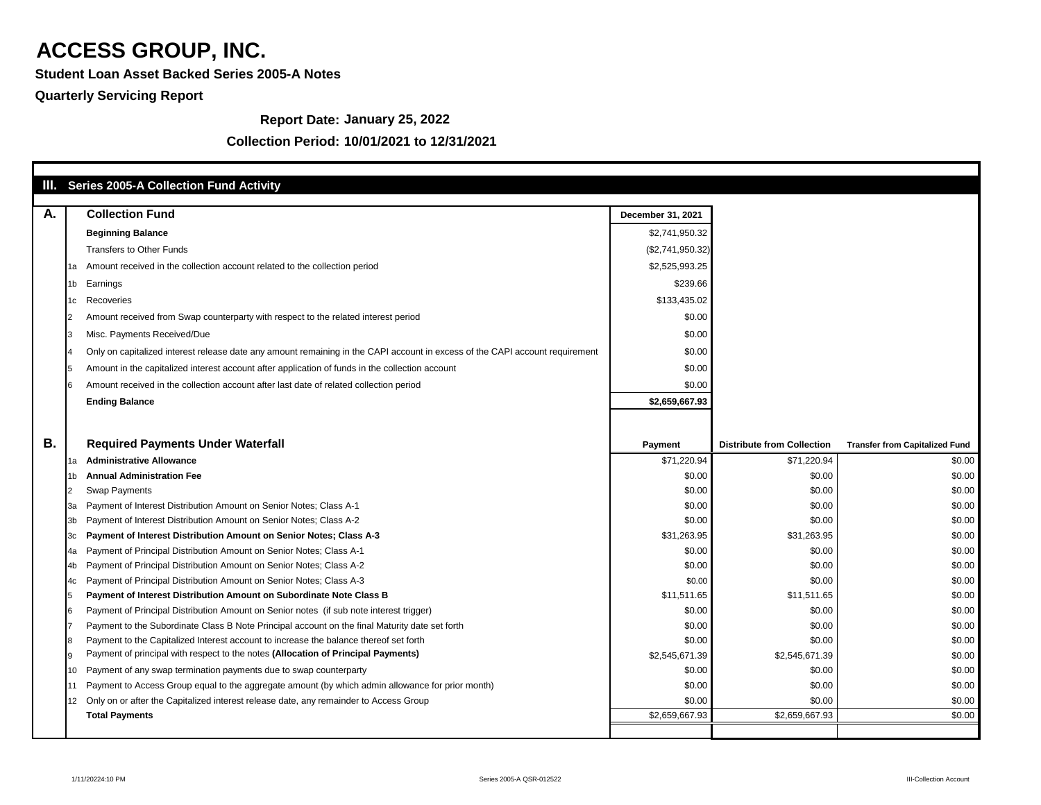**Student Loan Asset Backed Series 2005-A Notes**

### **Quarterly Servicing Report**

#### **Report Date: January 25, 2022**

|           |     | <b>III.</b> Series 2005-A Collection Fund Activity                                                                                                                                      |                          |                                   |                                       |
|-----------|-----|-----------------------------------------------------------------------------------------------------------------------------------------------------------------------------------------|--------------------------|-----------------------------------|---------------------------------------|
| Α.        |     | <b>Collection Fund</b>                                                                                                                                                                  | <b>December 31, 2021</b> |                                   |                                       |
|           |     | <b>Beginning Balance</b>                                                                                                                                                                | \$2,741,950.32           |                                   |                                       |
|           |     | <b>Transfers to Other Funds</b>                                                                                                                                                         | (\$2,741,950.32)         |                                   |                                       |
|           |     | Amount received in the collection account related to the collection period                                                                                                              | \$2,525,993.25           |                                   |                                       |
|           |     | 1b Earnings                                                                                                                                                                             | \$239.66                 |                                   |                                       |
|           |     | Recoveries                                                                                                                                                                              | \$133,435.02             |                                   |                                       |
|           |     | Amount received from Swap counterparty with respect to the related interest period                                                                                                      | \$0.00                   |                                   |                                       |
|           |     | Misc. Payments Received/Due                                                                                                                                                             | \$0.00                   |                                   |                                       |
|           |     | Only on capitalized interest release date any amount remaining in the CAPI account in excess of the CAPI account requirement                                                            | \$0.00                   |                                   |                                       |
|           |     | Amount in the capitalized interest account after application of funds in the collection account                                                                                         | \$0.00                   |                                   |                                       |
|           |     | Amount received in the collection account after last date of related collection period                                                                                                  | \$0.00                   |                                   |                                       |
|           |     | <b>Ending Balance</b>                                                                                                                                                                   | \$2,659,667.93           |                                   |                                       |
|           |     |                                                                                                                                                                                         |                          |                                   |                                       |
|           |     |                                                                                                                                                                                         |                          |                                   |                                       |
| <b>B.</b> |     | <b>Required Payments Under Waterfall</b>                                                                                                                                                | <b>Payment</b>           | <b>Distribute from Collection</b> | <b>Transfer from Capitalized Fund</b> |
|           | la  | <b>Administrative Allowance</b>                                                                                                                                                         | \$71,220.94              | \$71,220.94                       | \$0.00                                |
|           |     | <b>Annual Administration Fee</b>                                                                                                                                                        | \$0.00                   | \$0.00                            | \$0.00                                |
|           |     | <b>Swap Payments</b>                                                                                                                                                                    | \$0.00                   | \$0.00                            | \$0.00                                |
|           |     | Payment of Interest Distribution Amount on Senior Notes; Class A-1                                                                                                                      | \$0.00                   | \$0.00                            | \$0.00                                |
|           |     | Payment of Interest Distribution Amount on Senior Notes; Class A-2                                                                                                                      | \$0.00                   | \$0.00                            | \$0.00                                |
|           | I3c | Payment of Interest Distribution Amount on Senior Notes; Class A-3                                                                                                                      | \$31,263.95              | \$31,263.95                       | \$0.00                                |
|           | l4a | Payment of Principal Distribution Amount on Senior Notes; Class A-1                                                                                                                     | \$0.00                   | \$0.00                            | \$0.00                                |
|           |     | Payment of Principal Distribution Amount on Senior Notes; Class A-2                                                                                                                     | \$0.00                   | \$0.00                            | \$0.00                                |
|           | l4c | Payment of Principal Distribution Amount on Senior Notes; Class A-3                                                                                                                     | \$0.00                   | \$0.00                            | \$0.00                                |
|           |     | Payment of Interest Distribution Amount on Subordinate Note Class B                                                                                                                     | \$11,511.65              | \$11,511.65                       | \$0.00                                |
|           |     | Payment of Principal Distribution Amount on Senior notes (if sub note interest trigger)                                                                                                 | \$0.00<br>\$0.00         | \$0.00<br>\$0.00                  | \$0.00<br>\$0.00                      |
|           |     | Payment to the Subordinate Class B Note Principal account on the final Maturity date set forth<br>Payment to the Capitalized Interest account to increase the balance thereof set forth | \$0.00                   | \$0.00                            | \$0.00                                |
|           |     | Payment of principal with respect to the notes (Allocation of Principal Payments)                                                                                                       | \$2,545,671.39           | \$2,545,671.39                    | \$0.00                                |
|           |     | Payment of any swap termination payments due to swap counterparty                                                                                                                       | \$0.00                   | \$0.00                            | \$0.00                                |
|           |     | Payment to Access Group equal to the aggregate amount (by which admin allowance for prior month)                                                                                        | \$0.00                   | \$0.00                            | \$0.00                                |
|           |     | Only on or after the Capitalized interest release date, any remainder to Access Group                                                                                                   | \$0.00                   | \$0.00                            | \$0.00                                |
|           |     | <b>Total Payments</b>                                                                                                                                                                   | \$2,659,667.93           | \$2,659,667.93                    | \$0.00                                |
|           |     |                                                                                                                                                                                         |                          |                                   |                                       |

#### **Collection Period: 10/01/2021 to 12/31/2021**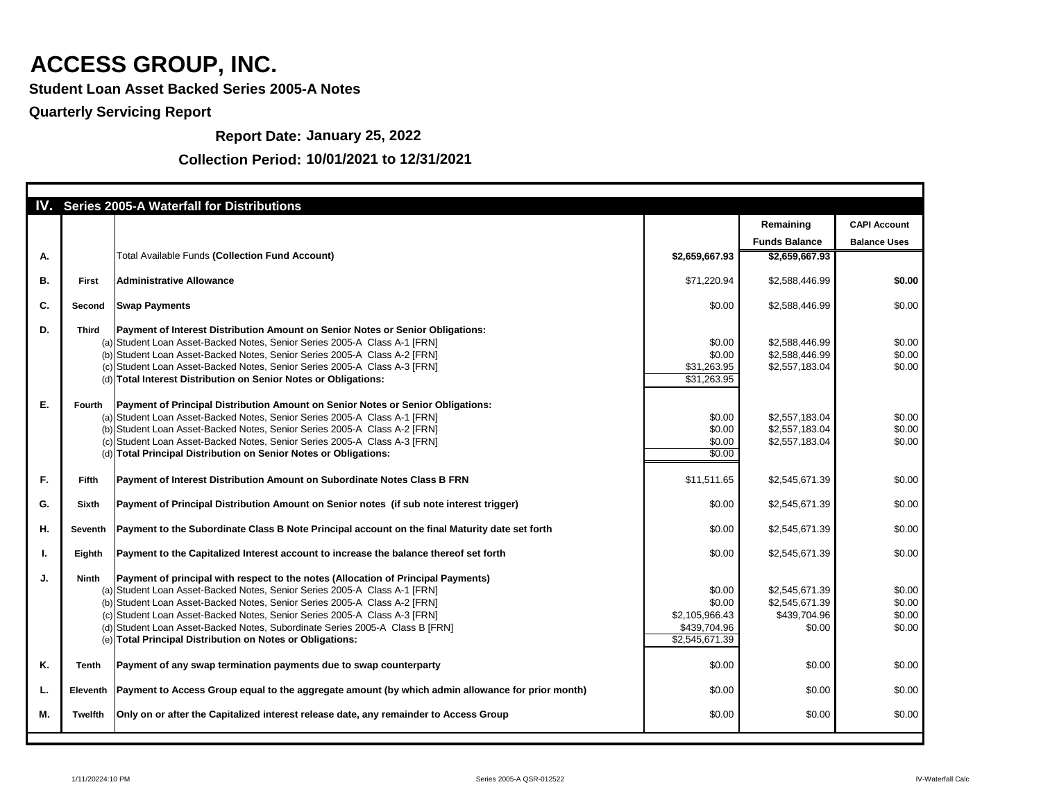**Student Loan Asset Backed Series 2005-A Notes**

### **Quarterly Servicing Report**

**Report Date: January 25, 2022**

|    |                | <b>IV.</b> Series 2005-A Waterfall for Distributions                                             |                         |                      |                     |
|----|----------------|--------------------------------------------------------------------------------------------------|-------------------------|----------------------|---------------------|
|    |                |                                                                                                  |                         | Remaining            | <b>CAPI Account</b> |
|    |                |                                                                                                  |                         | <b>Funds Balance</b> | <b>Balance Uses</b> |
| А. |                | <b>Total Available Funds (Collection Fund Account)</b>                                           | \$2,659,667.93          | \$2,659,667.93       |                     |
|    |                |                                                                                                  |                         |                      |                     |
| В. | <b>First</b>   | <b>Administrative Allowance</b>                                                                  | \$71,220.94             | \$2,588,446.99       | \$0.00              |
| C. | <b>Second</b>  | <b>Swap Payments</b>                                                                             | \$0.00                  | \$2,588,446.99       | \$0.00              |
|    |                |                                                                                                  |                         |                      |                     |
| D. | <b>Third</b>   | Payment of Interest Distribution Amount on Senior Notes or Senior Obligations:                   |                         |                      |                     |
|    |                | (a) Student Loan Asset-Backed Notes, Senior Series 2005-A Class A-1 [FRN]                        | \$0.00                  | \$2,588,446.99       | \$0.00              |
|    |                | (b) Student Loan Asset-Backed Notes, Senior Series 2005-A Class A-2 [FRN]                        | \$0.00                  | \$2,588,446.99       | \$0.00              |
|    |                | (c) Student Loan Asset-Backed Notes, Senior Series 2005-A Class A-3 [FRN]                        | \$31,263.95             | \$2,557,183.04       | \$0.00              |
|    |                | (d) Total Interest Distribution on Senior Notes or Obligations:                                  | $\overline{$}31,263.95$ |                      |                     |
| Ε. | Fourth         | Payment of Principal Distribution Amount on Senior Notes or Senior Obligations:                  |                         |                      |                     |
|    |                | (a) Student Loan Asset-Backed Notes, Senior Series 2005-A Class A-1 [FRN]                        | \$0.00                  | \$2,557,183.04       | \$0.00              |
|    |                | (b) Student Loan Asset-Backed Notes, Senior Series 2005-A Class A-2 [FRN]                        | \$0.00                  | \$2,557,183.04       | \$0.00              |
|    |                | (c) Student Loan Asset-Backed Notes, Senior Series 2005-A Class A-3 [FRN]                        | \$0.00                  | \$2,557,183.04       | \$0.00              |
|    | (d)            | <b>Total Principal Distribution on Senior Notes or Obligations:</b>                              | \$0.00                  |                      |                     |
|    |                |                                                                                                  |                         |                      |                     |
| F. | <b>Fifth</b>   | Payment of Interest Distribution Amount on Subordinate Notes Class B FRN                         | \$11,511.65             | \$2,545,671.39       | \$0.00              |
| G. | <b>Sixth</b>   | Payment of Principal Distribution Amount on Senior notes (if sub note interest trigger)          | \$0.00                  | \$2,545,671.39       | \$0.00              |
|    |                |                                                                                                  |                         |                      |                     |
| Η. | Seventh        | Payment to the Subordinate Class B Note Principal account on the final Maturity date set forth   | \$0.00                  | \$2,545,671.39       | \$0.00              |
| L, | Eighth         | Payment to the Capitalized Interest account to increase the balance thereof set forth            | \$0.00                  | \$2,545,671.39       | \$0.00              |
| J. | <b>Ninth</b>   | Payment of principal with respect to the notes (Allocation of Principal Payments)                |                         |                      |                     |
|    |                | (a) Student Loan Asset-Backed Notes, Senior Series 2005-A Class A-1 [FRN]                        | \$0.00                  | \$2,545,671.39       | \$0.00              |
|    |                | (b) Student Loan Asset-Backed Notes, Senior Series 2005-A Class A-2 [FRN]                        | \$0.00                  | \$2,545,671.39       | \$0.00              |
|    |                | (c) Student Loan Asset-Backed Notes, Senior Series 2005-A Class A-3 [FRN]                        | \$2,105,966.43          | \$439,704.96         | \$0.00              |
|    |                | (d) Student Loan Asset-Backed Notes, Subordinate Series 2005-A Class B [FRN]                     | \$439,704.96            | \$0.00               | \$0.00              |
|    |                | (e) Total Principal Distribution on Notes or Obligations:                                        | \$2,545,671.39          |                      |                     |
|    |                |                                                                                                  |                         |                      |                     |
| Κ. | <b>Tenth</b>   | Payment of any swap termination payments due to swap counterparty                                | \$0.00                  | \$0.00               | \$0.00              |
| L. | Eleventh       | Payment to Access Group equal to the aggregate amount (by which admin allowance for prior month) | \$0.00                  | \$0.00               | \$0.00              |
|    |                |                                                                                                  |                         |                      |                     |
| M. | <b>Twelfth</b> | Only on or after the Capitalized interest release date, any remainder to Access Group            | \$0.00                  | \$0.00               | \$0.00              |
|    |                |                                                                                                  |                         |                      |                     |

#### **Collection Period: 10/01/2021 to 12/31/2021**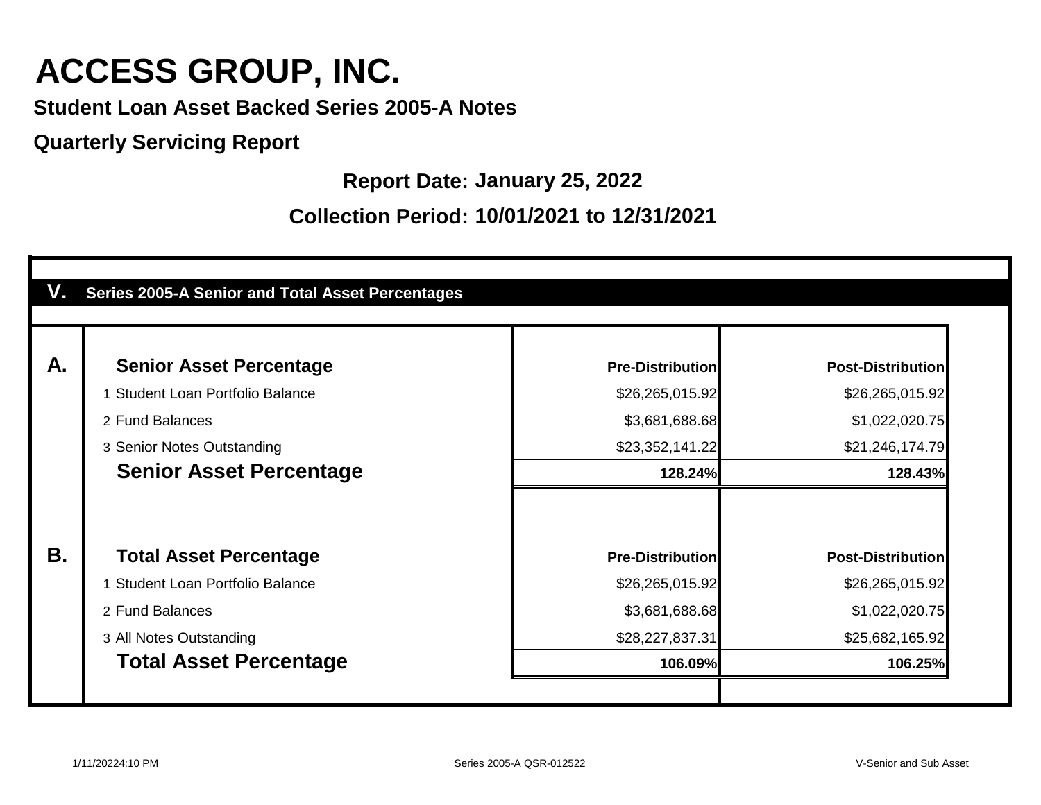**Student Loan Asset Backed Series 2005-A Notes**

**Quarterly Servicing Report**

**Report Date: January 25, 2022**

**Collection Period: 10/01/2021 to 12/31/2021**

| V.<br><b>Series 2005-A Senior and Total Asset Percentages</b> |                         |                           |
|---------------------------------------------------------------|-------------------------|---------------------------|
| Α.<br><b>Senior Asset Percentage</b>                          | <b>Pre-Distribution</b> | <b>Post-Distributionl</b> |
| <b>Student Loan Portfolio Balance</b>                         | \$26,265,015.92         | \$26,265,015.92           |
| 2 Fund Balances                                               | \$3,681,688.68          | \$1,022,020.75            |
| 3 Senior Notes Outstanding                                    | \$23,352,141.22         | \$21,246,174.79           |
| <b>Senior Asset Percentage</b>                                | 128.24%                 | 128.43%                   |
| <b>B.</b><br><b>Total Asset Percentage</b>                    | <b>Pre-Distribution</b> | <b>Post-Distribution</b>  |
| <b>Student Loan Portfolio Balance</b>                         | \$26,265,015.92         | \$26,265,015.92           |
| 2 Fund Balances                                               | \$3,681,688.68          | \$1,022,020.75            |
| 3 All Notes Outstanding                                       | \$28,227,837.31         | \$25,682,165.92           |
| <b>Total Asset Percentage</b>                                 | 106.09%                 | 106.25%                   |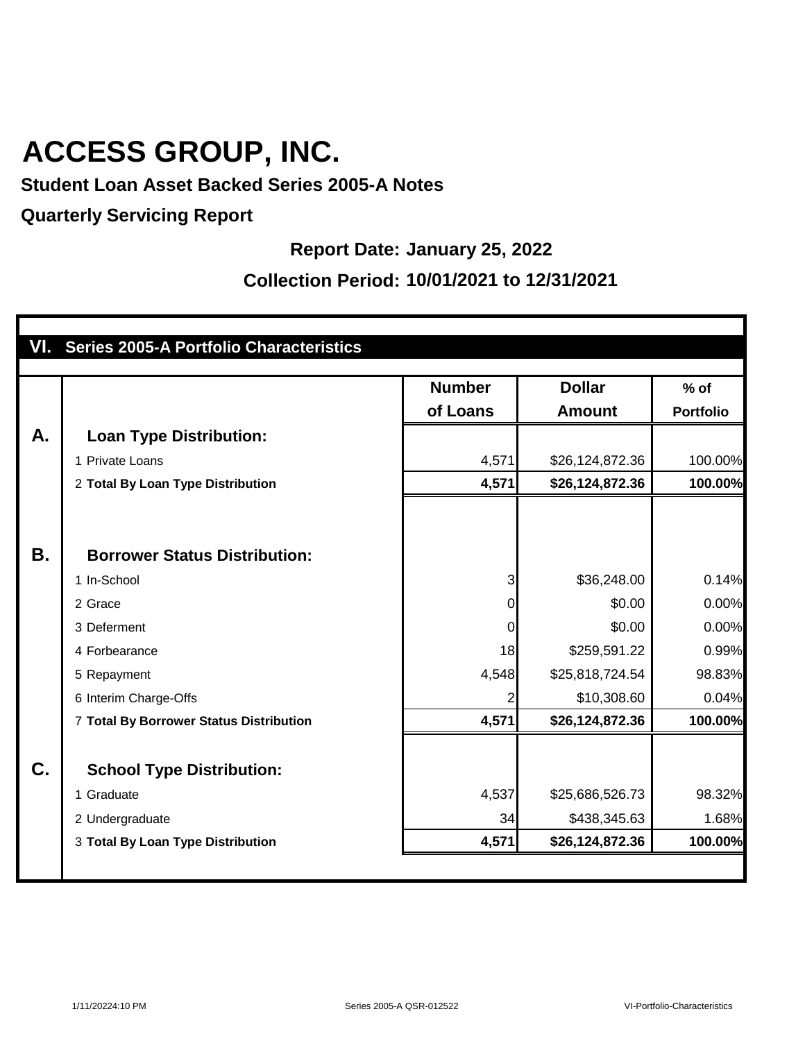#### **Student Loan Asset Backed Series 2005-A Notes**

**Quarterly Servicing Report**

#### **Report Date: January 25, 2022**

#### **Collection Period: 10/01/2021 to 12/31/2021**

|           | VI. Series 2005-A Portfolio Characteristics |               |                 |                  |
|-----------|---------------------------------------------|---------------|-----------------|------------------|
|           |                                             |               |                 |                  |
|           |                                             | <b>Number</b> | <b>Dollar</b>   | $%$ of           |
|           |                                             | of Loans      | <b>Amount</b>   | <b>Portfolio</b> |
| A.        | <b>Loan Type Distribution:</b>              |               |                 |                  |
|           | 1 Private Loans                             | 4,571         | \$26,124,872.36 | 100.00%          |
|           | 2 Total By Loan Type Distribution           | 4,571         | \$26,124,872.36 | 100.00%          |
|           |                                             |               |                 |                  |
|           |                                             |               |                 |                  |
| <b>B.</b> | <b>Borrower Status Distribution:</b>        |               |                 |                  |
|           | 1 In-School                                 | 3             | \$36,248.00     | 0.14%            |
|           | 2 Grace                                     | 0             | \$0.00          | 0.00%            |
|           | 3 Deferment                                 | 0             | \$0.00          | 0.00%            |
|           | 4 Forbearance                               | 18            | \$259,591.22    | 0.99%            |
|           | 5 Repayment                                 | 4,548         | \$25,818,724.54 | 98.83%           |
|           | 6 Interim Charge-Offs                       | 2             | \$10,308.60     | 0.04%            |
|           | 7 Total By Borrower Status Distribution     | 4,571         | \$26,124,872.36 | 100.00%          |
|           |                                             |               |                 |                  |
| C.        | <b>School Type Distribution:</b>            |               |                 |                  |
|           | 1 Graduate                                  | 4,537         | \$25,686,526.73 | 98.32%           |
|           | 2 Undergraduate                             | 34            | \$438,345.63    | 1.68%            |
|           | 3 Total By Loan Type Distribution           | 4,571         | \$26,124,872.36 | 100.00%          |
|           |                                             |               |                 |                  |

1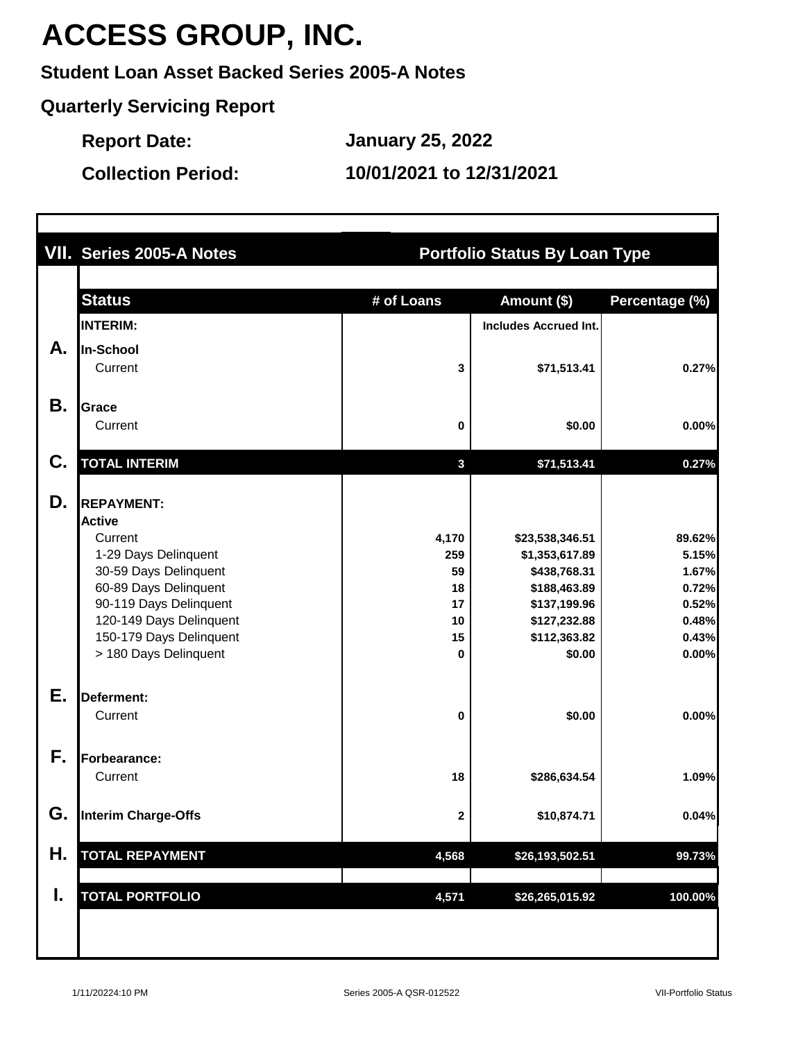### **Student Loan Asset Backed Series 2005-A Notes**

**Quarterly Servicing Report**

**Report Date: January 25, 2022**

**Collection Period:**

**10/01/2021 to 12/31/2021**

|    | VII. Series 2005-A Notes   |              | <b>Portfolio Status By Loan Type</b> |                |
|----|----------------------------|--------------|--------------------------------------|----------------|
|    |                            |              |                                      |                |
|    | <b>Status</b>              | # of Loans   | Amount (\$)                          | Percentage (%) |
|    | <b>INTERIM:</b>            |              | <b>Includes Accrued Int.</b>         |                |
| А. | In-School                  |              |                                      |                |
|    | Current                    | 3            | \$71,513.41                          | 0.27%          |
|    |                            |              |                                      |                |
| В. | <b>Grace</b>               |              |                                      |                |
|    | Current                    | 0            | \$0.00                               | 0.00%          |
|    |                            |              |                                      |                |
| C. | <b>TOTAL INTERIM</b>       | $\mathbf{3}$ | \$71,513.41                          | 0.27%          |
|    |                            |              |                                      |                |
| D. | <b>REPAYMENT:</b>          |              |                                      |                |
|    | <b>Active</b>              |              |                                      |                |
|    | Current                    | 4,170        | \$23,538,346.51                      | 89.62%         |
|    | 1-29 Days Delinquent       | 259          | \$1,353,617.89                       | 5.15%          |
|    | 30-59 Days Delinquent      | 59           | \$438,768.31                         | 1.67%          |
|    | 60-89 Days Delinquent      | 18           | \$188,463.89                         | 0.72%          |
|    | 90-119 Days Delinquent     | 17           | \$137,199.96                         | 0.52%          |
|    | 120-149 Days Delinquent    | 10           | \$127,232.88                         | 0.48%          |
|    | 150-179 Days Delinquent    | 15           | \$112,363.82                         | 0.43%          |
|    | > 180 Days Delinquent      | 0            | \$0.00                               | 0.00%          |
| Е. | Deferment:                 |              |                                      |                |
|    | Current                    | 0            | \$0.00                               | 0.00%          |
|    |                            |              |                                      |                |
| F. | Forbearance:               |              |                                      |                |
|    | Current                    | 18           | \$286,634.54                         | 1.09%          |
| G. |                            |              |                                      |                |
|    | <b>Interim Charge-Offs</b> | 2            | \$10,874.71                          | 0.04%          |
| Η. | <b>TOTAL REPAYMENT</b>     | 4,568        | \$26,193,502.51                      | 99.73%         |
| I. | <b>TOTAL PORTFOLIO</b>     | 4,571        | \$26,265,015.92                      | 100.00%        |
|    |                            |              |                                      |                |
|    |                            |              |                                      |                |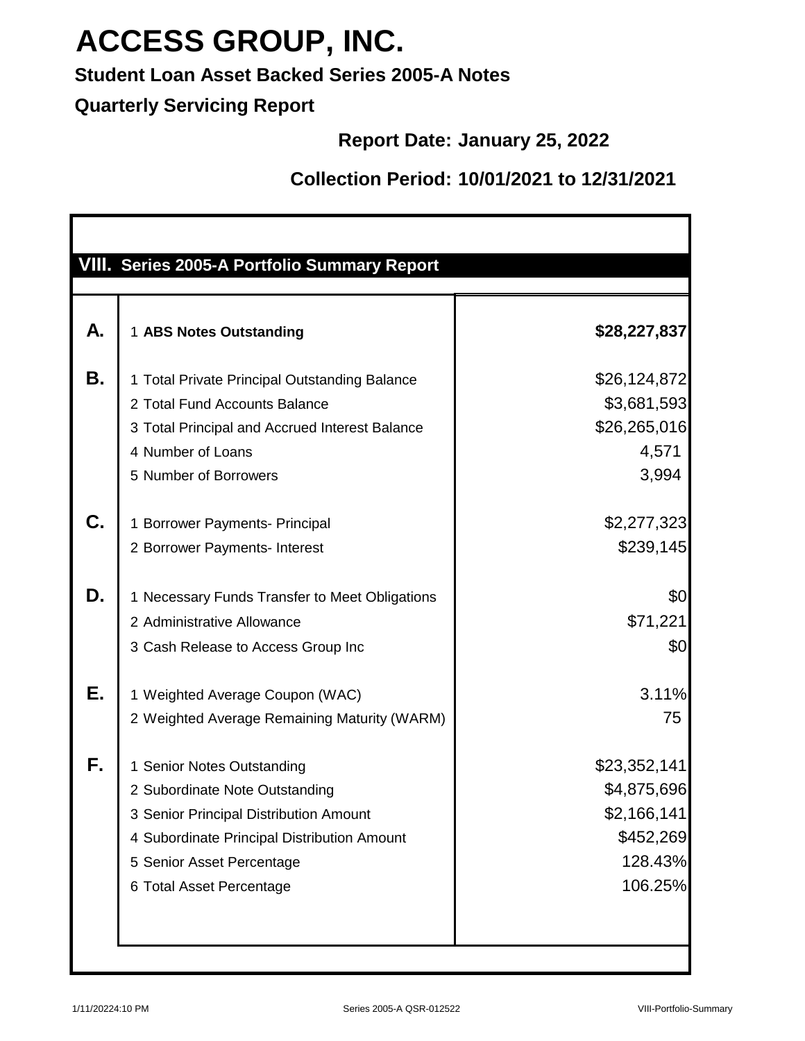**Student Loan Asset Backed Series 2005-A Notes**

**Quarterly Servicing Report**

**Report Date: January 25, 2022**

#### **Collection Period: 10/01/2021 to 12/31/2021**

|           | <b>VIII. Series 2005-A Portfolio Summary Report</b>                                                                                                                                                            |                                                                               |
|-----------|----------------------------------------------------------------------------------------------------------------------------------------------------------------------------------------------------------------|-------------------------------------------------------------------------------|
| А.        | 1 ABS Notes Outstanding                                                                                                                                                                                        | \$28,227,837                                                                  |
| <b>B.</b> | 1 Total Private Principal Outstanding Balance<br>2 Total Fund Accounts Balance<br>3 Total Principal and Accrued Interest Balance<br>4 Number of Loans<br>5 Number of Borrowers                                 | \$26,124,872<br>\$3,681,593<br>\$26,265,016<br>4,571<br>3,994                 |
| C.        | 1 Borrower Payments- Principal<br>2 Borrower Payments- Interest                                                                                                                                                | \$2,277,323<br>\$239,145                                                      |
| D.        | 1 Necessary Funds Transfer to Meet Obligations<br>2 Administrative Allowance<br>3 Cash Release to Access Group Inc                                                                                             | \$0<br>\$71,221<br>\$0                                                        |
| Е.        | 1 Weighted Average Coupon (WAC)<br>2 Weighted Average Remaining Maturity (WARM)                                                                                                                                | 3.11%<br>75                                                                   |
| F.        | 1 Senior Notes Outstanding<br>2 Subordinate Note Outstanding<br>3 Senior Principal Distribution Amount<br>4 Subordinate Principal Distribution Amount<br>5 Senior Asset Percentage<br>6 Total Asset Percentage | \$23,352,141<br>\$4,875,696<br>\$2,166,141<br>\$452,269<br>128.43%<br>106.25% |